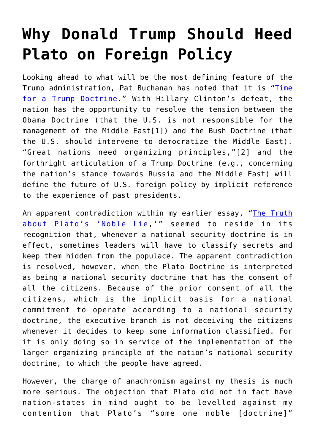## **[Why Donald Trump Should Heed](https://intellectualtakeout.org/2016/12/why-donald-trump-should-heed-plato-on-foreign-policy/) [Plato on Foreign Policy](https://intellectualtakeout.org/2016/12/why-donald-trump-should-heed-plato-on-foreign-policy/)**

Looking ahead to what will be the most defining feature of the Trump administration, Pat Buchanan has noted that it is "[Time](http://www.theimaginativeconservative.org/2016/11/time-trump-doctrine-pat-buchanan.html) [for a Trump Doctrine](http://www.theimaginativeconservative.org/2016/11/time-trump-doctrine-pat-buchanan.html)." With Hillary Clinton's defeat, the nation has the opportunity to resolve the tension between the Obama Doctrine (that the U.S. is not responsible for the management of the Middle East[1]) and the Bush Doctrine (that the U.S. should intervene to democratize the Middle East). "Great nations need organizing principles,"[2] and the forthright articulation of a Trump Doctrine (e.g., concerning the nation's stance towards Russia and the Middle East) will define the future of U.S. foreign policy by implicit reference to the experience of past presidents.

An apparent contradiction within my earlier essay, "[The Truth](http://www.theimaginativeconservative.org/2016/11/platos-noble-lie-christopher-morrissey.html) [about Plato's 'Noble Lie,](http://www.theimaginativeconservative.org/2016/11/platos-noble-lie-christopher-morrissey.html)'" seemed to reside in its recognition that, whenever a national security doctrine is in effect, sometimes leaders will have to classify secrets and keep them hidden from the populace. The apparent contradiction is resolved, however, when the Plato Doctrine is interpreted as being a national security doctrine that has the consent of all the citizens. Because of the prior consent of all the citizens, which is the implicit basis for a national commitment to operate according to a national security doctrine, the executive branch is not deceiving the citizens whenever it decides to keep some information classified. For it is only doing so in service of the implementation of the larger organizing principle of the nation's national security doctrine, to which the people have agreed.

However, the charge of anachronism against my thesis is much more serious. The objection that Plato did not in fact have nation-states in mind ought to be levelled against my contention that Plato's "some one noble [doctrine]"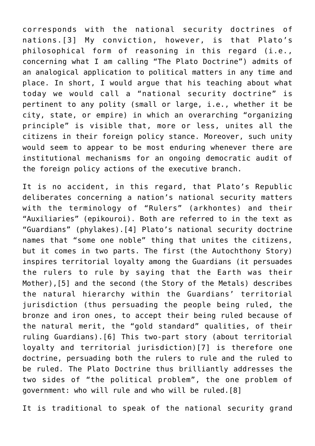corresponds with the national security doctrines of nations.[3] My conviction, however, is that Plato's philosophical form of reasoning in this regard (i.e., concerning what I am calling "The Plato Doctrine") admits of an analogical application to political matters in any time and place. In short, I would argue that his teaching about what today we would call a "national security doctrine" is pertinent to any polity (small or large, i.e., whether it be city, state, or empire) in which an overarching "organizing principle" is visible that, more or less, unites all the citizens in their foreign policy stance. Moreover, such unity would seem to appear to be most enduring whenever there are institutional mechanisms for an ongoing democratic audit of the foreign policy actions of the executive branch.

It is no accident, in this regard, that Plato's Republic deliberates concerning a nation's national security matters with the terminology of "Rulers" (arkhontes) and their "Auxiliaries" (epikouroi). Both are referred to in the text as "Guardians" (phylakes).[4] Plato's national security doctrine names that "some one noble" thing that unites the citizens, but it comes in two parts. The first (the Autochthony Story) inspires territorial loyalty among the Guardians (it persuades the rulers to rule by saying that the Earth was their Mother),[5] and the second (the Story of the Metals) describes the natural hierarchy within the Guardians' territorial jurisdiction (thus persuading the people being ruled, the bronze and iron ones, to accept their being ruled because of the natural merit, the "gold standard" qualities, of their ruling Guardians).[6] This two-part story (about territorial loyalty and territorial jurisdiction)[7] is therefore one doctrine, persuading both the rulers to rule and the ruled to be ruled. The Plato Doctrine thus brilliantly addresses the two sides of "the political problem", the one problem of government: who will rule and who will be ruled.[8]

It is traditional to speak of the national security grand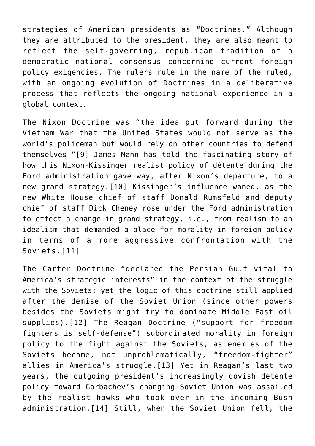strategies of American presidents as "Doctrines." Although they are attributed to the president, they are also meant to reflect the self-governing, republican tradition of a democratic national consensus concerning current foreign policy exigencies. The rulers rule in the name of the ruled, with an ongoing evolution of Doctrines in a deliberative process that reflects the ongoing national experience in a global context.

The Nixon Doctrine was "the idea put forward during the Vietnam War that the United States would not serve as the world's policeman but would rely on other countries to defend themselves."[9] James Mann has told the fascinating story of how this Nixon-Kissinger realist policy of détente during the Ford administration gave way, after Nixon's departure, to a new grand strategy.[10] Kissinger's influence waned, as the new White House chief of staff Donald Rumsfeld and deputy chief of staff Dick Cheney rose under the Ford administration to effect a change in grand strategy, i.e., from realism to an idealism that demanded a place for morality in foreign policy in terms of a more aggressive confrontation with the Soviets.[11]

The Carter Doctrine "declared the Persian Gulf vital to America's strategic interests" in the context of the struggle with the Soviets; yet the logic of this doctrine still applied after the demise of the Soviet Union (since other powers besides the Soviets might try to dominate Middle East oil supplies).[12] The Reagan Doctrine ("support for freedom fighters is self-defense") subordinated morality in foreign policy to the fight against the Soviets, as enemies of the Soviets became, not unproblematically, "freedom-fighter" allies in America's struggle.[13] Yet in Reagan's last two years, the outgoing president's increasingly dovish détente policy toward Gorbachev's changing Soviet Union was assailed by the realist hawks who took over in the incoming Bush administration.[14] Still, when the Soviet Union fell, the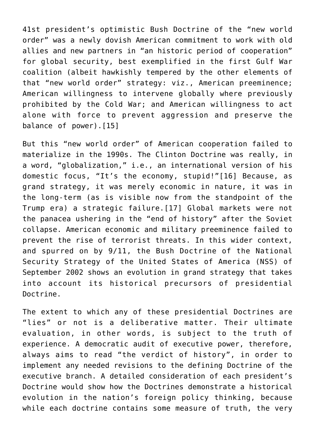41st president's optimistic Bush Doctrine of the "new world order" was a newly dovish American commitment to work with old allies and new partners in "an historic period of cooperation" for global security, best exemplified in the first Gulf War coalition (albeit hawkishly tempered by the other elements of that "new world order" strategy: viz., American preeminence; American willingness to intervene globally where previously prohibited by the Cold War; and American willingness to act alone with force to prevent aggression and preserve the balance of power).[15]

But this "new world order" of American cooperation failed to materialize in the 1990s. The Clinton Doctrine was really, in a word, "globalization," i.e., an international version of his domestic focus, "It's the economy, stupid!"[16] Because, as grand strategy, it was merely economic in nature, it was in the long-term (as is visible now from the standpoint of the Trump era) a strategic failure.[17] Global markets were not the panacea ushering in the "end of history" after the Soviet collapse. American economic and military preeminence failed to prevent the rise of terrorist threats. In this wider context, and spurred on by 9/11, the Bush Doctrine of the National Security Strategy of the United States of America (NSS) of September 2002 shows an evolution in grand strategy that takes into account its historical precursors of presidential Doctrine.

The extent to which any of these presidential Doctrines are "lies" or not is a deliberative matter. Their ultimate evaluation, in other words, is subject to the truth of experience. A democratic audit of executive power, therefore, always aims to read "the verdict of history", in order to implement any needed revisions to the defining Doctrine of the executive branch. A detailed consideration of each president's Doctrine would show how the Doctrines demonstrate a historical evolution in the nation's foreign policy thinking, because while each doctrine contains some measure of truth, the very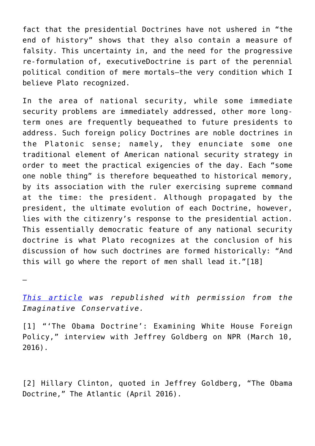fact that the presidential Doctrines have not ushered in "the end of history" shows that they also contain a measure of falsity. This uncertainty in, and the need for the progressive re-formulation of, executiveDoctrine is part of the perennial political condition of mere mortals—the very condition which I believe Plato recognized.

In the area of national security, while some immediate security problems are immediately addressed, other more longterm ones are frequently bequeathed to future presidents to address. Such foreign policy Doctrines are noble doctrines in the Platonic sense; namely, they enunciate some one traditional element of American national security strategy in order to meet the practical exigencies of the day. Each "some one noble thing" is therefore bequeathed to historical memory, by its association with the ruler exercising supreme command at the time: the president. Although propagated by the president, the ultimate evolution of each Doctrine, however, lies with the citizenry's response to the presidential action. This essentially democratic feature of any national security doctrine is what Plato recognizes at the conclusion of his discussion of how such doctrines are formed historically: "And this will go where the report of men shall lead it."[18]

—

*[This article](http://www.theimaginativeconservative.org/2016/11/donald-trump-plato-foreign-policy-christopher-morrissey.html) was republished with permission from the Imaginative Conservative.* 

[1] "'The Obama Doctrine': Examining White House Foreign Policy," interview with Jeffrey Goldberg on NPR (March 10, 2016).

[2] Hillary Clinton, quoted in Jeffrey Goldberg, "The Obama Doctrine," The Atlantic (April 2016).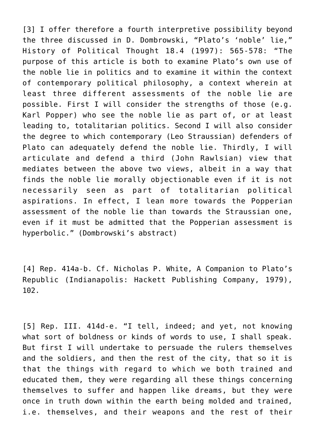[3] I offer therefore a fourth interpretive possibility beyond the three discussed in D. Dombrowski, "Plato's 'noble' lie," History of Political Thought 18.4 (1997): 565-578: "The purpose of this article is both to examine Plato's own use of the noble lie in politics and to examine it within the context of contemporary political philosophy, a context wherein at least three different assessments of the noble lie are possible. First I will consider the strengths of those (e.g. Karl Popper) who see the noble lie as part of, or at least leading to, totalitarian politics. Second I will also consider the degree to which contemporary (Leo Straussian) defenders of Plato can adequately defend the noble lie. Thirdly, I will articulate and defend a third (John Rawlsian) view that mediates between the above two views, albeit in a way that finds the noble lie morally objectionable even if it is not necessarily seen as part of totalitarian political aspirations. In effect, I lean more towards the Popperian assessment of the noble lie than towards the Straussian one, even if it must be admitted that the Popperian assessment is hyperbolic." (Dombrowski's abstract)

[4] Rep. 414a-b. Cf. Nicholas P. White, A Companion to Plato's Republic (Indianapolis: Hackett Publishing Company, 1979), 102.

[5] Rep. III. 414d-e. "I tell, indeed; and yet, not knowing what sort of boldness or kinds of words to use, I shall speak. But first I will undertake to persuade the rulers themselves and the soldiers, and then the rest of the city, that so it is that the things with regard to which we both trained and educated them, they were regarding all these things concerning themselves to suffer and happen like dreams, but they were once in truth down within the earth being molded and trained, i.e. themselves, and their weapons and the rest of their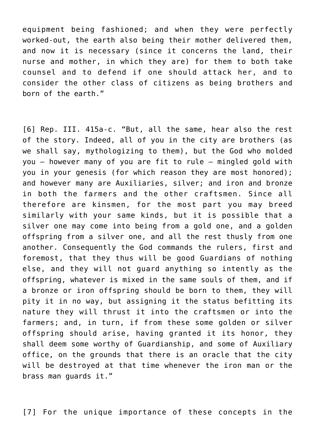equipment being fashioned; and when they were perfectly worked-out, the earth also being their mother delivered them, and now it is necessary (since it concerns the land, their nurse and mother, in which they are) for them to both take counsel and to defend if one should attack her, and to consider the other class of citizens as being brothers and born of the earth."

[6] Rep. III. 415a-c. "But, all the same, hear also the rest of the story. Indeed, all of you in the city are brothers (as we shall say, mythologizing to them), but the God who molded you — however many of you are fit to rule — mingled gold with you in your genesis (for which reason they are most honored); and however many are Auxiliaries, silver; and iron and bronze in both the farmers and the other craftsmen. Since all therefore are kinsmen, for the most part you may breed similarly with your same kinds, but it is possible that a silver one may come into being from a gold one, and a golden offspring from a silver one, and all the rest thusly from one another. Consequently the God commands the rulers, first and foremost, that they thus will be good Guardians of nothing else, and they will not guard anything so intently as the offspring, whatever is mixed in the same souls of them, and if a bronze or iron offspring should be born to them, they will pity it in no way, but assigning it the status befitting its nature they will thrust it into the craftsmen or into the farmers; and, in turn, if from these some golden or silver offspring should arise, having granted it its honor, they shall deem some worthy of Guardianship, and some of Auxiliary office, on the grounds that there is an oracle that the city will be destroyed at that time whenever the iron man or the brass man guards it."

[7] For the unique importance of these concepts in the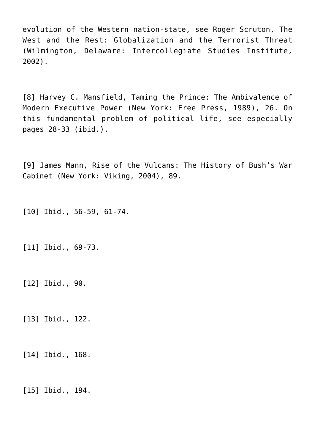evolution of the Western nation-state, see Roger Scruton, The West and the Rest: Globalization and the Terrorist Threat (Wilmington, Delaware: Intercollegiate Studies Institute, 2002).

[8] Harvey C. Mansfield, Taming the Prince: The Ambivalence of Modern Executive Power (New York: Free Press, 1989), 26. On this fundamental problem of political life, see especially pages 28-33 (ibid.).

[9] James Mann, Rise of the Vulcans: The History of Bush's War Cabinet (New York: Viking, 2004), 89.

[10] Ibid., 56-59, 61-74.

[11] Ibid., 69-73.

[12] Ibid., 90.

[13] Ibid., 122.

[14] Ibid., 168.

[15] Ibid., 194.